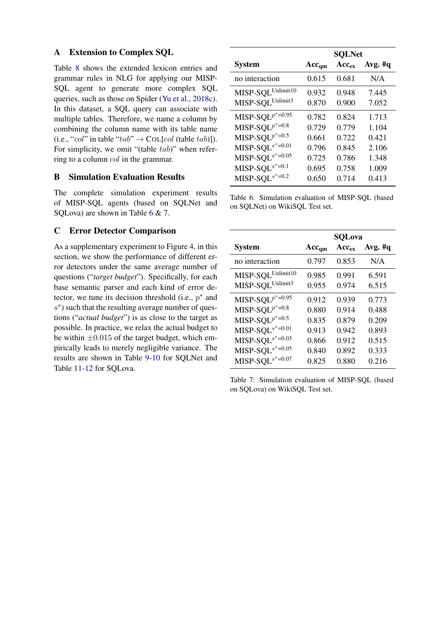## A Extension to Complex SQL

Table 8 shows the extended lexicon entries and grammar rules in NLG for applying our MISP-SQL agent to generate more complex SQL queries, such as those on Spider (Yu et al., 2018c). In this dataset, a SQL query can associate with multiple tables. Therefore, we name a column by combining the column name with its table name (i.e., "col" in table "tab"  $\rightarrow$  COL[col (table tab)]). For simplicity, we omit "(table tab)" when referring to a column col in the grammar.

## B Simulation Evaluation Results

The complete simulation experiment results of MISP-SQL agents (based on SQLNet and SQLova) are shown in Table 6 & 7.

## C Error Detector Comparison

As a supplementary experiment to Figure 4, in this section, we show the performance of different error detectors under the same average number of questions ("*target budget*"). Specifically, for each base semantic parser and each kind of error detector, we tune its decision threshold (i.e.,  $p^*$  and s<sup>\*</sup>) such that the resulting average number of questions ("*actual budget*") is as close to the target as possible. In practice, we relax the actual budget to be within  $\pm 0.015$  of the target budget, which empirically leads to merely negligible variance. The results are shown in Table 9-10 for SQLNet and Table 11-12 for SQLova.

|                                 | <b>SQLNet</b> |            |            |
|---------------------------------|---------------|------------|------------|
| <b>System</b>                   | $Acc_{qm}$    | $Acc_{ex}$ | Avg. $\#q$ |
| no interaction                  | 0.615         | 0.681      | N/A        |
| MISP-SQL Unlimit10              | 0.932         | 0.948      | 7.445      |
| MISP-SQLUnlimit3                | 0.870         | 0.900      | 7.052      |
| MISP-SQL $p^*$ =0.95            | 0.782         | 0.824      | 1.713      |
| MISP-SQL $p^*$ =0.8             | 0.729         | 0.779      | 1.104      |
| $\text{MISP-SQL}^{p^*\!=\!0.5}$ | 0.661         | 0.722      | 0.421      |
| MISP-SQL $s^*$ =0.01            | 0.796         | 0.845      | 2.106      |
| MISP-SQL $s^*$ =0.05            | 0.725         | 0.786      | 1.348      |
| MISP-SQL $s^*$ =0.1             | 0.695         | 0.758      | 1.009      |
| $MISP-SQLs*=0.2$                | 0.650         | 0.714      | 0.413      |

Table 6: Simulation evaluation of MISP-SQL (based on SQLNet) on WikiSQL Test set.

|                      |            | <b>SQLova</b> |           |
|----------------------|------------|---------------|-----------|
| <b>System</b>        | $Acc_{qm}$ | $Acc_{ex}$    | Avg. $#q$ |
| no interaction       | 0.797      | 0.853         | N/A       |
| MISP-SQL Unlimit10   | 0.985      | 0.991         | 6.591     |
| MISP-SQLUnlimit3     | 0.955      | 0.974         | 6.515     |
| MISP-SQL $p^*$ =0.95 | 0.912      | 0.939         | 0.773     |
| MISP-SQL $p^*$ =0.8  | 0.880      | 0.914         | 0.488     |
| MISP-SQL $p^*$ =0.5  | 0.835      | 0.879         | 0.209     |
| MISP-SQL $s^*$ =0.01 | 0.913      | 0.942         | 0.893     |
| MISP-SQL $s^*$ =0.03 | 0.866      | 0.912         | 0.515     |
| MISP-SQL $s^*$ =0.05 | 0.840      | 0.892         | 0.333     |
| $MISP-SQLs*=0.07$    | 0.825      | 0.880         | 0.216     |

Table 7: Simulation evaluation of MISP-SQL (based on SQLova) on WikiSQL Test set.